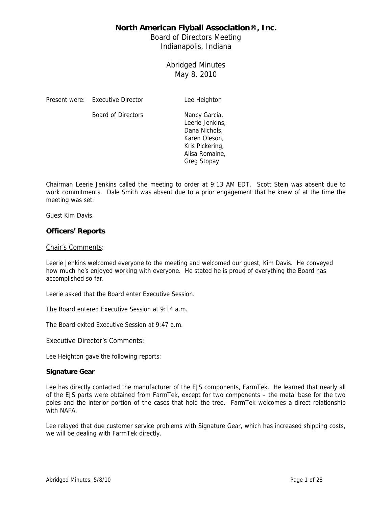Board of Directors Meeting Indianapolis, Indiana

> Abridged Minutes May 8, 2010

Present were: Executive Director Lee Heighton

Board of Directors Nancy Garcia,

Leerie Jenkins, Dana Nichols, Karen Oleson, Kris Pickering, Alisa Romaine, Greg Stopay

Chairman Leerie Jenkins called the meeting to order at 9:13 AM EDT. Scott Stein was absent due to work commitments. Dale Smith was absent due to a prior engagement that he knew of at the time the meeting was set.

Guest Kim Davis.

### **Officers' Reports**

### Chair's Comments:

Leerie Jenkins welcomed everyone to the meeting and welcomed our guest, Kim Davis. He conveyed how much he's enjoyed working with everyone. He stated he is proud of everything the Board has accomplished so far.

Leerie asked that the Board enter Executive Session.

The Board entered Executive Session at 9:14 a.m.

The Board exited Executive Session at 9:47 a.m.

Executive Director's Comments:

Lee Heighton gave the following reports:

### **Signature Gear**

Lee has directly contacted the manufacturer of the EJS components, FarmTek. He learned that nearly all of the EJS parts were obtained from FarmTek, except for two components – the metal base for the two poles and the interior portion of the cases that hold the tree. FarmTek welcomes a direct relationship with NAFA.

Lee relayed that due customer service problems with Signature Gear, which has increased shipping costs, we will be dealing with FarmTek directly.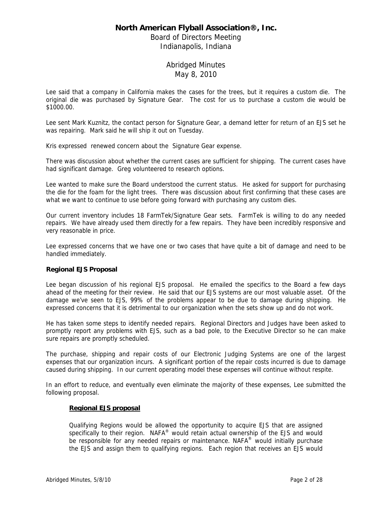Board of Directors Meeting Indianapolis, Indiana

## Abridged Minutes May 8, 2010

Lee said that a company in California makes the cases for the trees, but it requires a custom die. The original die was purchased by Signature Gear. The cost for us to purchase a custom die would be \$1000.00.

Lee sent Mark Kuznitz, the contact person for Signature Gear, a demand letter for return of an EJS set he was repairing. Mark said he will ship it out on Tuesday.

Kris expressed renewed concern about the Signature Gear expense.

There was discussion about whether the current cases are sufficient for shipping. The current cases have had significant damage. Greg volunteered to research options.

Lee wanted to make sure the Board understood the current status. He asked for support for purchasing the die for the foam for the light trees. There was discussion about first confirming that these cases are what we want to continue to use before going forward with purchasing any custom dies.

Our current inventory includes 18 FarmTek/Signature Gear sets. FarmTek is willing to do any needed repairs. We have already used them directly for a few repairs. They have been incredibly responsive and very reasonable in price.

Lee expressed concerns that we have one or two cases that have quite a bit of damage and need to be handled immediately.

### **Regional EJS Proposal**

Lee began discussion of his regional EJS proposal. He emailed the specifics to the Board a few days ahead of the meeting for their review. He said that our EJS systems are our most valuable asset. Of the damage we've seen to EJS, 99% of the problems appear to be due to damage during shipping. He expressed concerns that it is detrimental to our organization when the sets show up and do not work.

He has taken some steps to identify needed repairs. Regional Directors and Judges have been asked to promptly report any problems with EJS, such as a bad pole, to the Executive Director so he can make sure repairs are promptly scheduled.

The purchase, shipping and repair costs of our Electronic Judging Systems are one of the largest expenses that our organization incurs. A significant portion of the repair costs incurred is due to damage caused during shipping. In our current operating model these expenses will continue without respite.

In an effort to reduce, and eventually even eliminate the majority of these expenses, Lee submitted the following proposal.

### **Regional EJS proposal**

Qualifying Regions would be allowed the opportunity to acquire EJS that are assigned specifically to their region.  $NAFA^{\circ}$  would retain actual ownership of the EJS and would be responsible for any needed repairs or maintenance. NAFA<sup>®</sup> would initially purchase the EJS and assign them to qualifying regions. Each region that receives an EJS would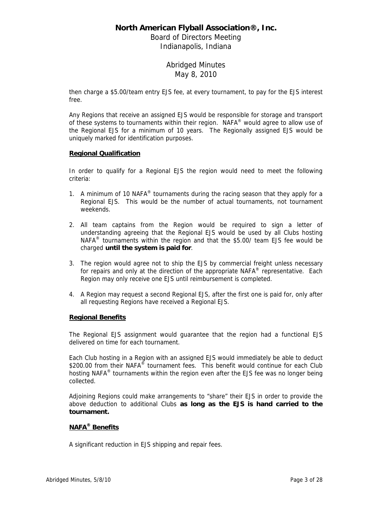Board of Directors Meeting Indianapolis, Indiana

> Abridged Minutes May 8, 2010

then charge a \$5.00/team entry EJS fee, at every tournament, to pay for the EJS interest free.

Any Regions that receive an assigned EJS would be responsible for storage and transport of these systems to tournaments within their region. NAFA<sup>®</sup> would agree to allow use of the Regional EJS for a minimum of 10 years. The Regionally assigned EJS would be uniquely marked for identification purposes.

### **Regional Qualification**

In order to qualify for a Regional EJS the region would need to meet the following criteria:

- 1. A minimum of 10 NAFA<sup>®</sup> tournaments during the racing season that they apply for a Regional EJS. This would be the number of actual tournaments, not tournament weekends.
- 2. All team captains from the Region would be required to sign a letter of understanding agreeing that the Regional EJS would be used by all Clubs hosting NAFA $^{\circ}$  tournaments within the region and that the \$5.00/ team EJS fee would be charged **until the system is paid for**.
- 3. The region would agree not to ship the EJS by commercial freight unless necessary for repairs and only at the direction of the appropriate NAFA<sup>®</sup> representative. Each Region may only receive one EJS until reimbursement is completed.
- 4. A Region may request a second Regional EJS, after the first one is paid for, only after all requesting Regions have received a Regional EJS.

### **Regional Benefits**

The Regional EJS assignment would guarantee that the region had a functional EJS delivered on time for each tournament.

Each Club hosting in a Region with an assigned EJS would immediately be able to deduct \$200.00 from their NAFA® tournament fees. This benefit would continue for each Club hosting NAFA<sup>®</sup> tournaments within the region even after the EJS fee was no longer being collected.

Adjoining Regions could make arrangements to "share" their EJS in order to provide the above deduction to additional Clubs **as long as the EJS is hand carried to the tournament.**

### **NAFA® Benefits**

A significant reduction in EJS shipping and repair fees.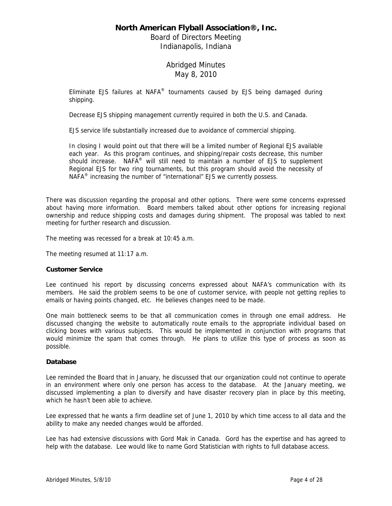Board of Directors Meeting Indianapolis, Indiana

## Abridged Minutes May 8, 2010

Eliminate EJS failures at NAFA® tournaments caused by EJS being damaged during shipping.

Decrease EJS shipping management currently required in both the U.S. and Canada.

EJS service life substantially increased due to avoidance of commercial shipping.

In closing I would point out that there will be a limited number of Regional EJS available each year. As this program continues, and shipping/repair costs decrease, this number should increase. NAFA<sup>®</sup> will still need to maintain a number of EJS to supplement Regional EJS for two ring tournaments, but this program should avoid the necessity of NAFA $^{\circ}$  increasing the number of "international" EJS we currently possess.

There was discussion regarding the proposal and other options. There were some concerns expressed about having more information. Board members talked about other options for increasing regional ownership and reduce shipping costs and damages during shipment. The proposal was tabled to next meeting for further research and discussion.

The meeting was recessed for a break at 10:45 a.m.

The meeting resumed at 11:17 a.m.

### **Customer Service**

Lee continued his report by discussing concerns expressed about NAFA's communication with its members. He said the problem seems to be one of customer service, with people not getting replies to emails or having points changed, etc. He believes changes need to be made.

One main bottleneck seems to be that all communication comes in through one email address. He discussed changing the website to automatically route emails to the appropriate individual based on clicking boxes with various subjects. This would be implemented in conjunction with programs that would minimize the spam that comes through. He plans to utilize this type of process as soon as possible.

### **Database**

Lee reminded the Board that in January, he discussed that our organization could not continue to operate in an environment where only one person has access to the database. At the January meeting, we discussed implementing a plan to diversify and have disaster recovery plan in place by this meeting, which he hasn't been able to achieve.

Lee expressed that he wants a firm deadline set of June 1, 2010 by which time access to all data and the ability to make any needed changes would be afforded.

Lee has had extensive discussions with Gord Mak in Canada. Gord has the expertise and has agreed to help with the database. Lee would like to name Gord Statistician with rights to full database access.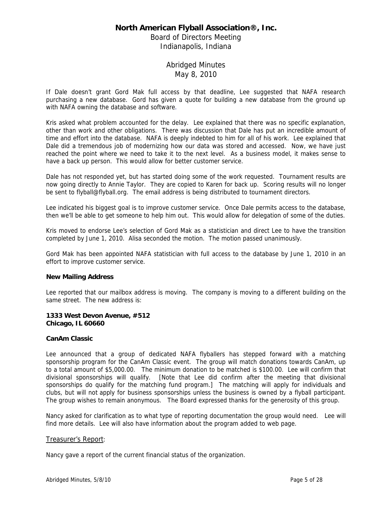Board of Directors Meeting Indianapolis, Indiana

## Abridged Minutes May 8, 2010

If Dale doesn't grant Gord Mak full access by that deadline, Lee suggested that NAFA research purchasing a new database. Gord has given a quote for building a new database from the ground up with NAFA owning the database and software.

Kris asked what problem accounted for the delay. Lee explained that there was no specific explanation, other than work and other obligations. There was discussion that Dale has put an incredible amount of time and effort into the database. NAFA is deeply indebted to him for all of his work. Lee explained that Dale did a tremendous job of modernizing how our data was stored and accessed. Now, we have just reached the point where we need to take it to the next level. As a business model, it makes sense to have a back up person. This would allow for better customer service.

Dale has not responded yet, but has started doing some of the work requested. Tournament results are now going directly to Annie Taylor. They are copied to Karen for back up. Scoring results will no longer be sent to flyball@flyball.org. The email address is being distributed to tournament directors.

Lee indicated his biggest goal is to improve customer service. Once Dale permits access to the database, then we'll be able to get someone to help him out. This would allow for delegation of some of the duties.

Kris moved to endorse Lee's selection of Gord Mak as a statistician and direct Lee to have the transition completed by June 1, 2010. Alisa seconded the motion. The motion passed unanimously.

Gord Mak has been appointed NAFA statistician with full access to the database by June 1, 2010 in an effort to improve customer service.

### **New Mailing Address**

Lee reported that our mailbox address is moving. The company is moving to a different building on the same street. The new address is:

### **1333 West Devon Avenue, #512 Chicago, IL 60660**

### **CanAm Classic**

Lee announced that a group of dedicated NAFA flyballers has stepped forward with a matching sponsorship program for the CanAm Classic event. The group will match donations towards CanAm, up to a total amount of \$5,000.00. The minimum donation to be matched is \$100.00. Lee will confirm that divisional sponsorships will qualify. [Note that Lee did confirm after the meeting that divisional sponsorships do qualify for the matching fund program.] The matching will apply for individuals and clubs, but will not apply for business sponsorships unless the business is owned by a flyball participant. The group wishes to remain anonymous. The Board expressed thanks for the generosity of this group.

Nancy asked for clarification as to what type of reporting documentation the group would need. Lee will find more details. Lee will also have information about the program added to web page.

### Treasurer's Report:

Nancy gave a report of the current financial status of the organization.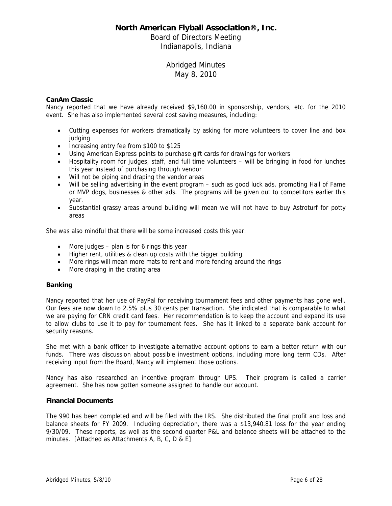Board of Directors Meeting Indianapolis, Indiana

> Abridged Minutes May 8, 2010

### **CanAm Classic**

Nancy reported that we have already received \$9,160.00 in sponsorship, vendors, etc. for the 2010 event. She has also implemented several cost saving measures, including:

- Cutting expenses for workers dramatically by asking for more volunteers to cover line and box iudaina
- Increasing entry fee from \$100 to \$125
- Using American Express points to purchase gift cards for drawings for workers
- Hospitality room for judges, staff, and full time volunteers will be bringing in food for lunches this year instead of purchasing through vendor
- Will not be piping and draping the vendor areas
- Will be selling advertising in the event program such as good luck ads, promoting Hall of Fame or MVP dogs, businesses & other ads. The programs will be given out to competitors earlier this year.
- Substantial grassy areas around building will mean we will not have to buy Astroturf for potty areas

She was also mindful that there will be some increased costs this year:

- $\bullet$  More judges plan is for 6 rings this year
- Higher rent, utilities & clean up costs with the bigger building
- More rings will mean more mats to rent and more fencing around the rings
- More draping in the crating area

### **Banking**

Nancy reported that her use of PayPal for receiving tournament fees and other payments has gone well. Our fees are now down to 2.5% plus 30 cents per transaction. She indicated that is comparable to what we are paying for CRN credit card fees. Her recommendation is to keep the account and expand its use to allow clubs to use it to pay for tournament fees. She has it linked to a separate bank account for security reasons.

She met with a bank officer to investigate alternative account options to earn a better return with our funds. There was discussion about possible investment options, including more long term CDs. After receiving input from the Board, Nancy will implement those options.

Nancy has also researched an incentive program through UPS. Their program is called a carrier agreement. She has now gotten someone assigned to handle our account.

### **Financial Documents**

The 990 has been completed and will be filed with the IRS. She distributed the final profit and loss and balance sheets for FY 2009. Including depreciation, there was a \$13,940.81 loss for the year ending 9/30/09. These reports, as well as the second quarter P&L and balance sheets will be attached to the minutes. [Attached as Attachments A, B, C, D & E]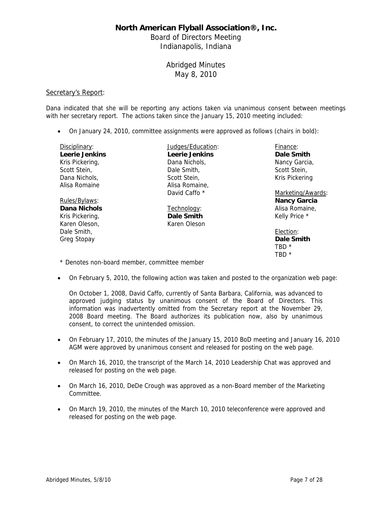Board of Directors Meeting Indianapolis, Indiana

# Abridged Minutes May 8, 2010

### Secretary's Report:

Dana indicated that she will be reporting any actions taken via unanimous consent between meetings with her secretary report. The actions taken since the January 15, 2010 meeting included:

On January 24, 2010, committee assignments were approved as follows (chairs in bold):

| Disciplinary:                                   | Judges/Education:     | Finance:            |
|-------------------------------------------------|-----------------------|---------------------|
| <b>Leerie Jenkins</b>                           | <b>Leerie Jenkins</b> | Dale Smith          |
| Kris Pickering,                                 | Dana Nichols.         | Nancy Garcia,       |
| Scott Stein,                                    | Dale Smith,           | Scott Stein,        |
| Dana Nichols.                                   | Scott Stein.          | Kris Pickering      |
| Alisa Romaine                                   | Alisa Romaine,        |                     |
|                                                 | David Caffo *         | Marketing/Awards:   |
| Rules/Bylaws:                                   |                       | <b>Nancy Garcia</b> |
| Dana Nichols                                    | Technology:           | Alisa Romaine.      |
| Kris Pickering,                                 | Dale Smith            | Kelly Price *       |
| Karen Oleson,                                   | Karen Oleson          |                     |
| Dale Smith,                                     |                       | Election:           |
| Greg Stopay                                     |                       | Dale Smith          |
|                                                 |                       | TBD <sup>*</sup>    |
|                                                 |                       | TBD *               |
| * Donatoo nan baard magmbar samppoittaa magmbar |                       |                     |

- Denotes non-board member, committee member
- On February 5, 2010, the following action was taken and posted to the organization web page:

On October 1, 2008, David Caffo, currently of Santa Barbara, California, was advanced to approved judging status by unanimous consent of the Board of Directors. This information was inadvertently omitted from the Secretary report at the November 29, 2008 Board meeting. The Board authorizes its publication now, also by unanimous consent, to correct the unintended omission.

- On February 17, 2010, the minutes of the January 15, 2010 BoD meeting and January 16, 2010 AGM were approved by unanimous consent and released for posting on the web page.
- On March 16, 2010, the transcript of the March 14, 2010 Leadership Chat was approved and released for posting on the web page.
- On March 16, 2010, DeDe Crough was approved as a non-Board member of the Marketing Committee.
- On March 19, 2010, the minutes of the March 10, 2010 teleconference were approved and released for posting on the web page.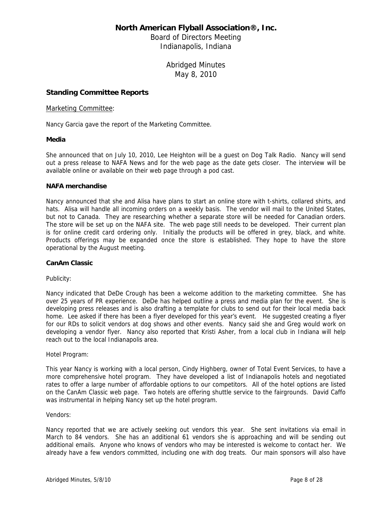Board of Directors Meeting Indianapolis, Indiana

> Abridged Minutes May 8, 2010

### **Standing Committee Reports**

### Marketing Committee:

Nancy Garcia gave the report of the Marketing Committee.

### **Media**

She announced that on July 10, 2010, Lee Heighton will be a guest on Dog Talk Radio. Nancy will send out a press release to NAFA News and for the web page as the date gets closer. The interview will be available online or available on their web page through a pod cast.

### **NAFA merchandise**

Nancy announced that she and Alisa have plans to start an online store with t-shirts, collared shirts, and hats. Alisa will handle all incoming orders on a weekly basis. The vendor will mail to the United States, but not to Canada. They are researching whether a separate store will be needed for Canadian orders. The store will be set up on the NAFA site. The web page still needs to be developed. Their current plan is for online credit card ordering only. Initially the products will be offered in grey, black, and white. Products offerings may be expanded once the store is established. They hope to have the store operational by the August meeting.

### **CanAm Classic**

Publicity:

Nancy indicated that DeDe Crough has been a welcome addition to the marketing committee. She has over 25 years of PR experience. DeDe has helped outline a press and media plan for the event. She is developing press releases and is also drafting a template for clubs to send out for their local media back home. Lee asked if there has been a flyer developed for this year's event. He suggested creating a flyer for our RDs to solicit vendors at dog shows and other events. Nancy said she and Greg would work on developing a vendor flyer. Nancy also reported that Kristi Asher, from a local club in Indiana will help reach out to the local Indianapolis area.

Hotel Program:

This year Nancy is working with a local person, Cindy Highberg, owner of Total Event Services, to have a more comprehensive hotel program. They have developed a list of Indianapolis hotels and negotiated rates to offer a large number of affordable options to our competitors. All of the hotel options are listed on the CanAm Classic web page. Two hotels are offering shuttle service to the fairgrounds. David Caffo was instrumental in helping Nancy set up the hotel program.

### Vendors:

Nancy reported that we are actively seeking out vendors this year. She sent invitations via email in March to 84 vendors. She has an additional 61 vendors she is approaching and will be sending out additional emails. Anyone who knows of vendors who may be interested is welcome to contact her. We already have a few vendors committed, including one with dog treats. Our main sponsors will also have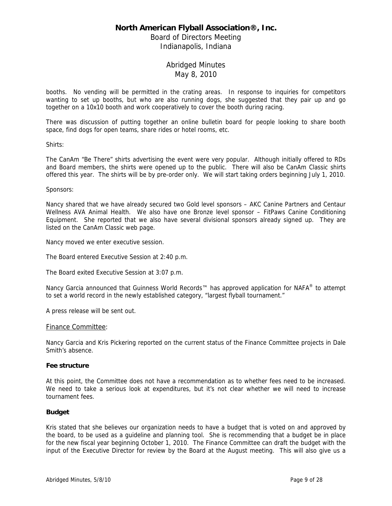Board of Directors Meeting Indianapolis, Indiana

## Abridged Minutes May 8, 2010

booths. No vending will be permitted in the crating areas. In response to inquiries for competitors wanting to set up booths, but who are also running dogs, she suggested that they pair up and go together on a 10x10 booth and work cooperatively to cover the booth during racing.

There was discussion of putting together an online bulletin board for people looking to share booth space, find dogs for open teams, share rides or hotel rooms, etc.

Shirts:

The CanAm "Be There" shirts advertising the event were very popular. Although initially offered to RDs and Board members, the shirts were opened up to the public. There will also be CanAm Classic shirts offered this year. The shirts will be by pre-order only. We will start taking orders beginning July 1, 2010.

Sponsors:

Nancy shared that we have already secured two Gold level sponsors – AKC Canine Partners and Centaur Wellness AVA Animal Health. We also have one Bronze level sponsor – FitPaws Canine Conditioning Equipment. She reported that we also have several divisional sponsors already signed up. They are listed on the CanAm Classic web page.

Nancy moved we enter executive session.

The Board entered Executive Session at 2:40 p.m.

The Board exited Executive Session at 3:07 p.m.

Nancy Garcia announced that Guinness World Records™ has approved application for NAFA® to attempt to set a world record in the newly established category, "largest flyball tournament."

A press release will be sent out.

#### Finance Committee:

Nancy Garcia and Kris Pickering reported on the current status of the Finance Committee projects in Dale Smith's absence.

#### **Fee structure**

At this point, the Committee does not have a recommendation as to whether fees need to be increased. We need to take a serious look at expenditures, but it's not clear whether we will need to increase tournament fees.

### **Budget**

Kris stated that she believes our organization needs to have a budget that is voted on and approved by the board, to be used as a guideline and planning tool. She is recommending that a budget be in place for the new fiscal year beginning October 1, 2010. The Finance Committee can draft the budget with the input of the Executive Director for review by the Board at the August meeting. This will also give us a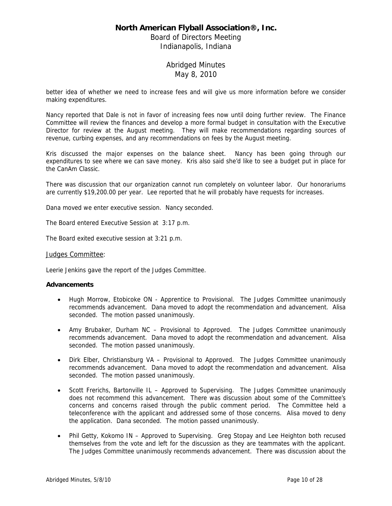Board of Directors Meeting Indianapolis, Indiana

## Abridged Minutes May 8, 2010

better idea of whether we need to increase fees and will give us more information before we consider making expenditures.

Nancy reported that Dale is not in favor of increasing fees now until doing further review. The Finance Committee will review the finances and develop a more formal budget in consultation with the Executive Director for review at the August meeting. They will make recommendations regarding sources of revenue, curbing expenses, and any recommendations on fees by the August meeting.

Kris discussed the major expenses on the balance sheet. Nancy has been going through our expenditures to see where we can save money. Kris also said she'd like to see a budget put in place for the CanAm Classic.

There was discussion that our organization cannot run completely on volunteer labor. Our honorariums are currently \$19,200.00 per year. Lee reported that he will probably have requests for increases.

Dana moved we enter executive session. Nancy seconded.

The Board entered Executive Session at 3:17 p.m.

The Board exited executive session at 3:21 p.m.

### Judges Committee:

Leerie Jenkins gave the report of the Judges Committee.

### **Advancements**

- Hugh Morrow, Etobicoke ON Apprentice to Provisional. The Judges Committee unanimously recommends advancement. Dana moved to adopt the recommendation and advancement. Alisa seconded. The motion passed unanimously.
- Amy Brubaker, Durham NC Provisional to Approved. The Judges Committee unanimously recommends advancement. Dana moved to adopt the recommendation and advancement. Alisa seconded. The motion passed unanimously.
- Dirk Elber, Christiansburg VA Provisional to Approved. The Judges Committee unanimously recommends advancement. Dana moved to adopt the recommendation and advancement. Alisa seconded. The motion passed unanimously.
- Scott Frerichs, Bartonville IL Approved to Supervising. The Judges Committee unanimously does not recommend this advancement. There was discussion about some of the Committee's concerns and concerns raised through the public comment period. The Committee held a teleconference with the applicant and addressed some of those concerns. Alisa moved to deny the application. Dana seconded. The motion passed unanimously.
- Phil Getty, Kokomo IN Approved to Supervising. Greg Stopay and Lee Heighton both recused themselves from the vote and left for the discussion as they are teammates with the applicant. The Judges Committee unanimously recommends advancement. There was discussion about the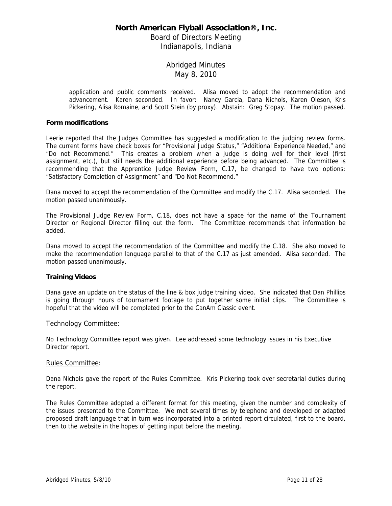Board of Directors Meeting Indianapolis, Indiana

# Abridged Minutes May 8, 2010

application and public comments received. Alisa moved to adopt the recommendation and advancement. Karen seconded. In favor: Nancy Garcia, Dana Nichols, Karen Oleson, Kris Pickering, Alisa Romaine, and Scott Stein (by proxy). Abstain: Greg Stopay. The motion passed.

### **Form modifications**

Leerie reported that the Judges Committee has suggested a modification to the judging review forms. The current forms have check boxes for "Provisional Judge Status," "Additional Experience Needed," and "Do not Recommend." This creates a problem when a judge is doing well for their level (first assignment, etc.), but still needs the additional experience before being advanced. The Committee is recommending that the Apprentice Judge Review Form, C.17, be changed to have two options: "Satisfactory Completion of Assignment" and "Do Not Recommend."

Dana moved to accept the recommendation of the Committee and modify the C.17. Alisa seconded. The motion passed unanimously.

The Provisional Judge Review Form, C.18, does not have a space for the name of the Tournament Director or Regional Director filling out the form. The Committee recommends that information be added.

Dana moved to accept the recommendation of the Committee and modify the C.18. She also moved to make the recommendation language parallel to that of the C.17 as just amended. Alisa seconded. The motion passed unanimously.

### **Training Videos**

Dana gave an update on the status of the line & box judge training video. She indicated that Dan Phillips is going through hours of tournament footage to put together some initial clips. The Committee is hopeful that the video will be completed prior to the CanAm Classic event.

### Technology Committee:

No Technology Committee report was given. Lee addressed some technology issues in his Executive Director report.

### Rules Committee:

Dana Nichols gave the report of the Rules Committee. Kris Pickering took over secretarial duties during the report.

The Rules Committee adopted a different format for this meeting, given the number and complexity of the issues presented to the Committee. We met several times by telephone and developed or adapted proposed draft language that in turn was incorporated into a printed report circulated, first to the board, then to the website in the hopes of getting input before the meeting.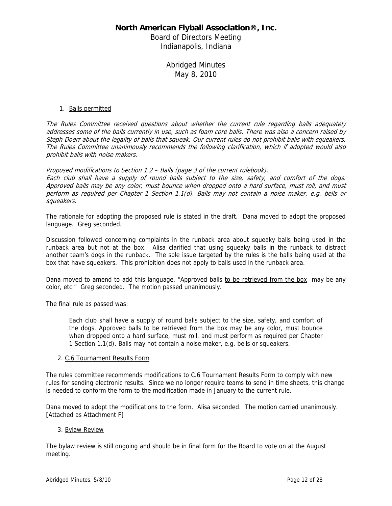Board of Directors Meeting Indianapolis, Indiana

> Abridged Minutes May 8, 2010

### 1. Balls permitted

The Rules Committee received questions about whether the current rule regarding balls adequately addresses some of the balls currently in use, such as foam core balls. There was also a concern raised by Steph Doerr about the legality of balls that squeak. Our current rules do not prohibit balls with squeakers. The Rules Committee unanimously recommends the following clarification, which if adopted would also prohibit balls with noise makers.

Proposed modifications to Section 1.2 – Balls (page 3 of the current rulebook):

Each club shall have a supply of round balls subject to the size, safety, and comfort of the dogs. Approved balls may be any color, must bounce when dropped onto a hard surface, must roll, and must perform as required per Chapter 1 Section 1.1(d). Balls may not contain a noise maker, e.g. bells or squeakers.

The rationale for adopting the proposed rule is stated in the draft. Dana moved to adopt the proposed language. Greg seconded.

Discussion followed concerning complaints in the runback area about squeaky balls being used in the runback area but not at the box. Alisa clarified that using squeaky balls in the runback to distract another team's dogs in the runback. The sole issue targeted by the rules is the balls being used at the box that have squeakers. This prohibition does not apply to balls used in the runback area.

Dana moved to amend to add this language. "Approved balls to be retrieved from the box may be any color, etc." Greg seconded. The motion passed unanimously.

The final rule as passed was:

Each club shall have a supply of round balls subject to the size, safety, and comfort of the dogs. Approved balls to be retrieved from the box may be any color, must bounce when dropped onto a hard surface, must roll, and must perform as required per Chapter 1 Section 1.1(d). Balls may not contain a noise maker, e.g. bells or squeakers.

### 2. C.6 Tournament Results Form

The rules committee recommends modifications to C.6 Tournament Results Form to comply with new rules for sending electronic results. Since we no longer require teams to send in time sheets, this change is needed to conform the form to the modification made in January to the current rule.

Dana moved to adopt the modifications to the form. Alisa seconded. The motion carried unanimously. [Attached as Attachment F]

### 3. Bylaw Review

The bylaw review is still ongoing and should be in final form for the Board to vote on at the August meeting.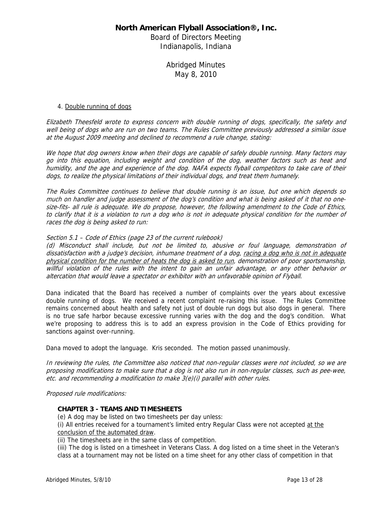Board of Directors Meeting Indianapolis, Indiana

> Abridged Minutes May 8, 2010

#### 4. Double running of dogs

Elizabeth Theesfeld wrote to express concern with double running of dogs, specifically, the safety and well being of dogs who are run on two teams. The Rules Committee previously addressed a similar issue at the August 2009 meeting and declined to recommend a rule change, stating:

We hope that dog owners know when their dogs are capable of safely double running. Many factors may go into this equation, including weight and condition of the dog, weather factors such as heat and humidity, and the age and experience of the dog. NAFA expects flyball competitors to take care of their dogs, to realize the physical limitations of their individual dogs, and treat them humanely.

The Rules Committee continues to believe that double running is an issue, but one which depends so much on handler and judge assessment of the dog's condition and what is being asked of it that no onesize-fits- all rule is adequate. We do propose, however, the following amendment to the Code of Ethics, to clarify that it is a violation to run a dog who is not in adequate physical condition for the number of races the dog is being asked to run:

### Section 5.1 – Code of Ethics (page 23 of the current rulebook)

(d) Misconduct shall include, but not be limited to, abusive or foul language, demonstration of dissatisfaction with a judge's decision, inhumane treatment of a dog, racing a dog who is not in adequate physical condition for the number of heats the dog is asked to run, demonstration of poor sportsmanship, willful violation of the rules with the intent to gain an unfair advantage, or any other behavior or altercation that would leave a spectator or exhibitor with an unfavorable opinion of Flyball.

Dana indicated that the Board has received a number of complaints over the years about excessive double running of dogs. We received a recent complaint re-raising this issue. The Rules Committee remains concerned about health and safety not just of double run dogs but also dogs in general. There is no true safe harbor because excessive running varies with the dog and the dog's condition. What we're proposing to address this is to add an express provision in the Code of Ethics providing for sanctions against over-running.

Dana moved to adopt the language. Kris seconded. The motion passed unanimously.

In reviewing the rules, the Committee also noticed that non-regular classes were not included, so we are proposing modifications to make sure that a dog is not also run in non-regular classes, such as pee-wee, etc. and recommending a modification to make 3(e)(i) parallel with other rules.

Proposed rule modifications:

### **CHAPTER 3 - TEAMS AND TIMESHEETS**

(e) A dog may be listed on two timesheets per day unless:

(i) All entries received for a tournament's limited entry Regular Class were not accepted at the conclusion of the automated draw.

(ii) The timesheets are in the same class of competition.

(iii) The dog is listed on a timesheet in Veterans Class. A dog listed on a time sheet in the Veteran's class at a tournament may not be listed on a time sheet for any other class of competition in that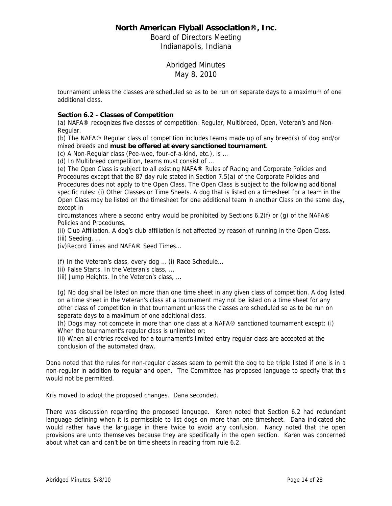Board of Directors Meeting Indianapolis, Indiana

> Abridged Minutes May 8, 2010

tournament unless the classes are scheduled so as to be run on separate days to a maximum of one additional class.

### **Section 6.2 - Classes of Competition**

(a) NAFA® recognizes five classes of competition: Regular, Multibreed, Open, Veteran's and Non-Regular.

(b) The NAFA® Regular class of competition includes teams made up of any breed(s) of dog and/or mixed breeds and **must be offered at every sanctioned tournament**.

(c) A Non-Regular class (Pee-wee, four-of-a-kind, etc.), is …

(d) In Multibreed competition, teams must consist of …

(e) The Open Class is subject to all existing NAFA® Rules of Racing and Corporate Policies and Procedures except that the 87 day rule stated in Section 7.5(a) of the Corporate Policies and Procedures does not apply to the Open Class. The Open Class is subject to the following additional specific rules: (i) Other Classes or Time Sheets. A dog that is listed on a timesheet for a team in the Open Class may be listed on the timesheet for one additional team in another Class on the same day, except in

circumstances where a second entry would be prohibited by Sections 6.2(f) or (q) of the NAFA $\circledR$ Policies and Procedures.

(ii) Club Affiliation. A dog's club affiliation is not affected by reason of running in the Open Class. (iii) Seeding. …

(iv)Record Times and NAFA® Seed Times…

(f) In the Veteran's class, every dog … (i) Race Schedule…

(ii) False Starts. In the Veteran's class, …

(iii) Jump Heights. In the Veteran's class, …

(g) No dog shall be listed on more than one time sheet in any given class of competition. A dog listed on a time sheet in the Veteran's class at a tournament may not be listed on a time sheet for any other class of competition in that tournament unless the classes are scheduled so as to be run on separate days to a maximum of one additional class.

(h) Dogs may not compete in more than one class at a NAFA® sanctioned tournament except: (i) When the tournament's regular class is unlimited or;

(ii) When all entries received for a tournament's limited entry regular class are accepted at the conclusion of the automated draw.

Dana noted that the rules for non-regular classes seem to permit the dog to be triple listed if one is in a non-regular in addition to regular and open. The Committee has proposed language to specify that this would not be permitted.

Kris moved to adopt the proposed changes. Dana seconded.

There was discussion regarding the proposed language. Karen noted that Section 6.2 had redundant language defining when it is permissible to list dogs on more than one timesheet. Dana indicated she would rather have the language in there twice to avoid any confusion. Nancy noted that the open provisions are unto themselves because they are specifically in the open section. Karen was concerned about what can and can't be on time sheets in reading from rule 6.2.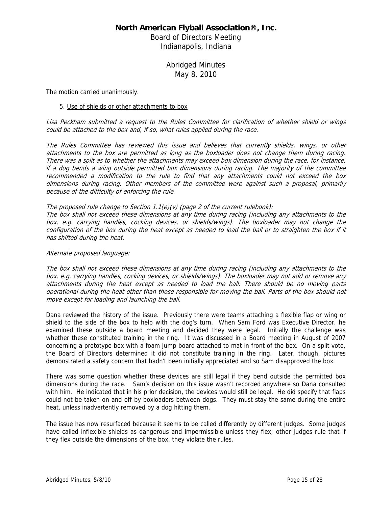Board of Directors Meeting Indianapolis, Indiana

> Abridged Minutes May 8, 2010

The motion carried unanimously.

#### 5. Use of shields or other attachments to box

Lisa Peckham submitted a request to the Rules Committee for clarification of whether shield or wings could be attached to the box and, if so, what rules applied during the race.

The Rules Committee has reviewed this issue and believes that currently shields, wings, or other attachments to the box are permitted as long as the boxloader does not change them during racing. There was a split as to whether the attachments may exceed box dimension during the race, for instance, if a dog bends a wing outside permitted box dimensions during racing. The majority of the committee recommended a modification to the rule to find that any attachments could not exceed the box dimensions during racing. Other members of the committee were against such a proposal, primarily because of the difficulty of enforcing the rule.

#### The proposed rule change to Section 1.1(e)(v) (page 2 of the current rulebook):

The box shall not exceed these dimensions at any time during racing (including any attachments to the box, e.g. carrying handles, cocking devices, or shields/wings). The boxloader may not change the configuration of the box during the heat except as needed to load the ball or to straighten the box if it has shifted during the heat.

#### Alternate proposed language:

The box shall not exceed these dimensions at any time during racing (including any attachments to the box, e.g. carrying handles, cocking devices, or shields/wings). The boxloader may not add or remove any attachments during the heat except as needed to load the ball. There should be no moving parts operational during the heat other than those responsible for moving the ball. Parts of the box should not move except for loading and launching the ball.

Dana reviewed the history of the issue. Previously there were teams attaching a flexible flap or wing or shield to the side of the box to help with the dog's turn. When Sam Ford was Executive Director, he examined these outside a board meeting and decided they were legal. Initially the challenge was whether these constituted training in the ring. It was discussed in a Board meeting in August of 2007 concerning a prototype box with a foam jump board attached to mat in front of the box. On a split vote, the Board of Directors determined it did not constitute training in the ring. Later, though, pictures demonstrated a safety concern that hadn't been initially appreciated and so Sam disapproved the box.

There was some question whether these devices are still legal if they bend outside the permitted box dimensions during the race. Sam's decision on this issue wasn't recorded anywhere so Dana consulted with him. He indicated that in his prior decision, the devices would still be legal. He did specify that flaps could not be taken on and off by boxloaders between dogs. They must stay the same during the entire heat, unless inadvertently removed by a dog hitting them.

The issue has now resurfaced because it seems to be called differently by different judges. Some judges have called inflexible shields as dangerous and impermissible unless they flex; other judges rule that if they flex outside the dimensions of the box, they violate the rules.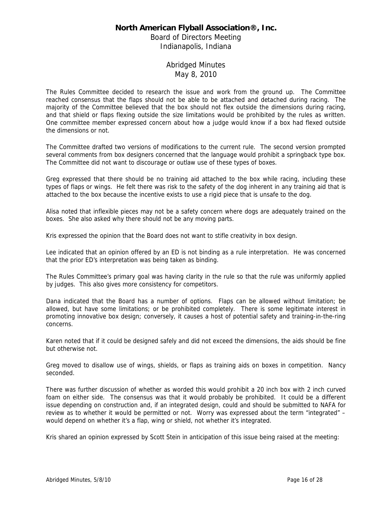Board of Directors Meeting Indianapolis, Indiana

# Abridged Minutes May 8, 2010

The Rules Committee decided to research the issue and work from the ground up. The Committee reached consensus that the flaps should not be able to be attached and detached during racing. The majority of the Committee believed that the box should not flex outside the dimensions during racing, and that shield or flaps flexing outside the size limitations would be prohibited by the rules as written. One committee member expressed concern about how a judge would know if a box had flexed outside the dimensions or not.

The Committee drafted two versions of modifications to the current rule. The second version prompted several comments from box designers concerned that the language would prohibit a springback type box. The Committee did not want to discourage or outlaw use of these types of boxes.

Greg expressed that there should be no training aid attached to the box while racing, including these types of flaps or wings. He felt there was risk to the safety of the dog inherent in any training aid that is attached to the box because the incentive exists to use a rigid piece that is unsafe to the dog.

Alisa noted that inflexible pieces may not be a safety concern where dogs are adequately trained on the boxes. She also asked why there should not be any moving parts.

Kris expressed the opinion that the Board does not want to stifle creativity in box design.

Lee indicated that an opinion offered by an ED is not binding as a rule interpretation. He was concerned that the prior ED's interpretation was being taken as binding.

The Rules Committee's primary goal was having clarity in the rule so that the rule was uniformly applied by judges. This also gives more consistency for competitors.

Dana indicated that the Board has a number of options. Flaps can be allowed without limitation; be allowed, but have some limitations; or be prohibited completely. There is some legitimate interest in promoting innovative box design; conversely, it causes a host of potential safety and training-in-the-ring concerns.

Karen noted that if it could be designed safely and did not exceed the dimensions, the aids should be fine but otherwise not.

Greg moved to disallow use of wings, shields, or flaps as training aids on boxes in competition. Nancy seconded.

There was further discussion of whether as worded this would prohibit a 20 inch box with 2 inch curved foam on either side. The consensus was that it would probably be prohibited. It could be a different issue depending on construction and, if an integrated design, could and should be submitted to NAFA for review as to whether it would be permitted or not. Worry was expressed about the term "integrated" – would depend on whether it's a flap, wing or shield, not whether it's integrated.

Kris shared an opinion expressed by Scott Stein in anticipation of this issue being raised at the meeting: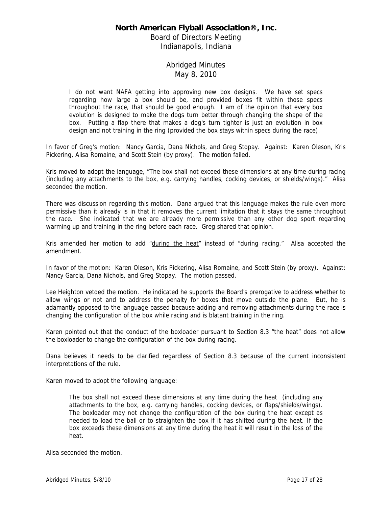Board of Directors Meeting Indianapolis, Indiana

# Abridged Minutes May 8, 2010

I do not want NAFA getting into approving new box designs. We have set specs regarding how large a box should be, and provided boxes fit within those specs throughout the race, that should be good enough. I am of the opinion that every box evolution is designed to make the dogs turn better through changing the shape of the box. Putting a flap there that makes a dog's turn tighter is just an evolution in box design and not training in the ring (provided the box stays within specs during the race).

In favor of Greg's motion: Nancy Garcia, Dana Nichols, and Greg Stopay. Against: Karen Oleson, Kris Pickering, Alisa Romaine, and Scott Stein (by proxy). The motion failed.

Kris moved to adopt the language, "The box shall not exceed these dimensions at any time during racing (including any attachments to the box, e.g. carrying handles, cocking devices, or shields/wings)." Alisa seconded the motion.

There was discussion regarding this motion. Dana argued that this language makes the rule even more permissive than it already is in that it removes the current limitation that it stays the same throughout the race. She indicated that we are already more permissive than any other dog sport regarding warming up and training in the ring before each race. Greg shared that opinion.

Kris amended her motion to add "during the heat" instead of "during racing." Alisa accepted the amendment.

In favor of the motion: Karen Oleson, Kris Pickering, Alisa Romaine, and Scott Stein (by proxy). Against: Nancy Garcia, Dana Nichols, and Greg Stopay. The motion passed.

Lee Heighton vetoed the motion. He indicated he supports the Board's prerogative to address whether to allow wings or not and to address the penalty for boxes that move outside the plane. But, he is adamantly opposed to the language passed because adding and removing attachments during the race is changing the configuration of the box while racing and is blatant training in the ring.

Karen pointed out that the conduct of the boxloader pursuant to Section 8.3 "the heat" does not allow the boxloader to change the configuration of the box during racing.

Dana believes it needs to be clarified regardless of Section 8.3 because of the current inconsistent interpretations of the rule.

Karen moved to adopt the following language:

The box shall not exceed these dimensions at any time during the heat (including any attachments to the box, e.g. carrying handles, cocking devices, or flaps/shields/wings). The boxloader may not change the configuration of the box during the heat except as needed to load the ball or to straighten the box if it has shifted during the heat. If the box exceeds these dimensions at any time during the heat it will result in the loss of the heat.

Alisa seconded the motion.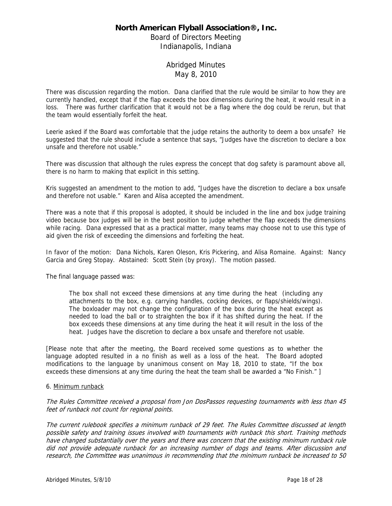Board of Directors Meeting Indianapolis, Indiana

## Abridged Minutes May 8, 2010

There was discussion regarding the motion. Dana clarified that the rule would be similar to how they are currently handled, except that if the flap exceeds the box dimensions during the heat, it would result in a loss. There was further clarification that it would not be a flag where the dog could be rerun, but that the team would essentially forfeit the heat.

Leerie asked if the Board was comfortable that the judge retains the authority to deem a box unsafe? He suggested that the rule should include a sentence that says, "Judges have the discretion to declare a box unsafe and therefore not usable."

There was discussion that although the rules express the concept that dog safety is paramount above all, there is no harm to making that explicit in this setting.

Kris suggested an amendment to the motion to add, "Judges have the discretion to declare a box unsafe and therefore not usable." Karen and Alisa accepted the amendment.

There was a note that if this proposal is adopted, it should be included in the line and box judge training video because box judges will be in the best position to judge whether the flap exceeds the dimensions while racing. Dana expressed that as a practical matter, many teams may choose not to use this type of aid given the risk of exceeding the dimensions and forfeiting the heat.

In favor of the motion: Dana Nichols, Karen Oleson, Kris Pickering, and Alisa Romaine. Against: Nancy Garcia and Greg Stopay. Abstained: Scott Stein (by proxy). The motion passed.

The final language passed was:

The box shall not exceed these dimensions at any time during the heat (including any attachments to the box, e.g. carrying handles, cocking devices, or flaps/shields/wings). The boxloader may not change the configuration of the box during the heat except as needed to load the ball or to straighten the box if it has shifted during the heat. If the box exceeds these dimensions at any time during the heat it will result in the loss of the heat. Judges have the discretion to declare a box unsafe and therefore not usable.

[Please note that after the meeting, the Board received some questions as to whether the language adopted resulted in a no finish as well as a loss of the heat. The Board adopted modifications to the language by unanimous consent on May 18, 2010 to state, "If the box exceeds these dimensions at any time during the heat the team shall be awarded a "No Finish." ]

### 6. Minimum runback

The Rules Committee received a proposal from Jon DosPassos requesting tournaments with less than 45 feet of runback not count for regional points.

The current rulebook specifies a minimum runback of 29 feet. The Rules Committee discussed at length possible safety and training issues involved with tournaments with runback this short. Training methods have changed substantially over the years and there was concern that the existing minimum runback rule did not provide adequate runback for an increasing number of dogs and teams. After discussion and research, the Committee was unanimous in recommending that the minimum runback be increased to 50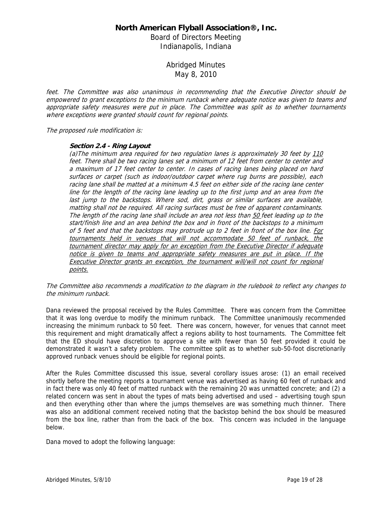Board of Directors Meeting Indianapolis, Indiana

> Abridged Minutes May 8, 2010

feet. The Committee was also unanimous in recommending that the Executive Director should be empowered to grant exceptions to the minimum runback where adequate notice was given to teams and appropriate safety measures were put in place. The Committee was split as to whether tournaments where exceptions were granted should count for regional points.

The proposed rule modification is:

### **Section 2.4 - Ring Layout**

(a)The minimum area required for two regulation lanes is approximately 30 feet by 110 feet. There shall be two racing lanes set a minimum of 12 feet from center to center and a maximum of 17 feet center to center. In cases of racing lanes being placed on hard surfaces or carpet (such as indoor/outdoor carpet where rug burns are possible), each racing lane shall be matted at a minimum 4.5 feet on either side of the racing lane center line for the length of the racing lane leading up to the first jump and an area from the last jump to the backstops. Where sod, dirt, grass or similar surfaces are available, matting shall not be required. All racing surfaces must be free of apparent contaminants. The length of the racing lane shall include an area not less than 50 feet leading up to the start/finish line and an area behind the box and in front of the backstops to a minimum of 5 feet and that the backstops may protrude up to 2 feet in front of the box line. For tournaments held in venues that will not accommodate 50 feet of runback, the tournament director may apply for an exception from the Executive Director if adequate notice is given to teams and appropriate safety measures are put in place. If the Executive Director grants an exception, the tournament will/will not count for regional points.

### The Committee also recommends a modification to the diagram in the rulebook to reflect any changes to the minimum runback.

Dana reviewed the proposal received by the Rules Committee. There was concern from the Committee that it was long overdue to modify the minimum runback. The Committee unanimously recommended increasing the minimum runback to 50 feet. There was concern, however, for venues that cannot meet this requirement and might dramatically affect a regions ability to host tournaments. The Committee felt that the ED should have discretion to approve a site with fewer than 50 feet provided it could be demonstrated it wasn't a safety problem. The committee split as to whether sub-50-foot discretionarily approved runback venues should be eligible for regional points.

After the Rules Committee discussed this issue, several corollary issues arose: (1) an email received shortly before the meeting reports a tournament venue was advertised as having 60 feet of runback and in fact there was only 40 feet of matted runback with the remaining 20 was unmatted concrete; and (2) a related concern was sent in about the types of mats being advertised and used – advertising tough spun and then everything other than where the jumps themselves are was something much thinner. There was also an additional comment received noting that the backstop behind the box should be measured from the box line, rather than from the back of the box. This concern was included in the language below.

Dana moved to adopt the following language: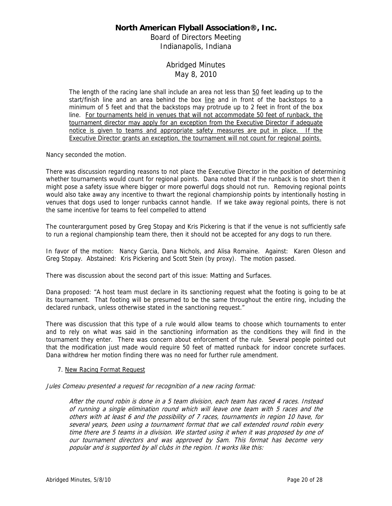Board of Directors Meeting Indianapolis, Indiana

# Abridged Minutes May 8, 2010

The length of the racing lane shall include an area not less than 50 feet leading up to the start/finish line and an area behind the box line and in front of the backstops to a minimum of 5 feet and that the backstops may protrude up to 2 feet in front of the box line. For tournaments held in venues that will not accommodate 50 feet of runback, the tournament director may apply for an exception from the Executive Director if adequate notice is given to teams and appropriate safety measures are put in place. If the Executive Director grants an exception, the tournament will not count for regional points.

Nancy seconded the motion.

There was discussion regarding reasons to not place the Executive Director in the position of determining whether tournaments would count for regional points. Dana noted that if the runback is too short then it might pose a safety issue where bigger or more powerful dogs should not run. Removing regional points would also take away any incentive to thwart the regional championship points by intentionally hosting in venues that dogs used to longer runbacks cannot handle. If we take away regional points, there is not the same incentive for teams to feel compelled to attend

The counterargument posed by Greg Stopay and Kris Pickering is that if the venue is not sufficiently safe to run a regional championship team there, then it should not be accepted for any dogs to run there.

In favor of the motion: Nancy Garcia, Dana Nichols, and Alisa Romaine. Against: Karen Oleson and Greg Stopay. Abstained: Kris Pickering and Scott Stein (by proxy). The motion passed.

There was discussion about the second part of this issue: Matting and Surfaces.

Dana proposed: "A host team must declare in its sanctioning request what the footing is going to be at its tournament. That footing will be presumed to be the same throughout the entire ring, including the declared runback, unless otherwise stated in the sanctioning request."

There was discussion that this type of a rule would allow teams to choose which tournaments to enter and to rely on what was said in the sanctioning information as the conditions they will find in the tournament they enter. There was concern about enforcement of the rule. Several people pointed out that the modification just made would require 50 feet of matted runback for indoor concrete surfaces. Dana withdrew her motion finding there was no need for further rule amendment.

### 7. New Racing Format Request

Jules Comeau presented a request for recognition of a new racing format:

After the round robin is done in a 5 team division, each team has raced 4 races. Instead of running a single elimination round which will leave one team with 5 races and the others with at least 6 and the possibility of 7 races, tournaments in region 10 have, for several years, been using a tournament format that we call extended round robin every time there are 5 teams in a division. We started using it when it was proposed by one of our tournament directors and was approved by Sam. This format has become very popular and is supported by all clubs in the region. It works like this: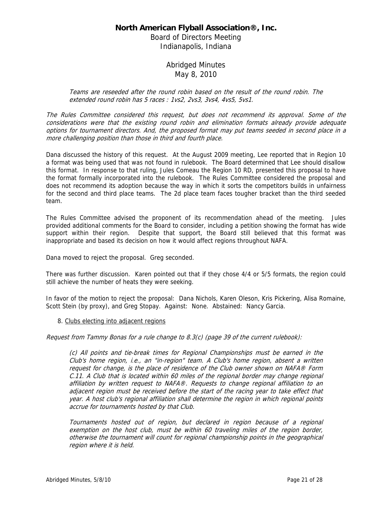Board of Directors Meeting Indianapolis, Indiana

# Abridged Minutes May 8, 2010

Teams are reseeded after the round robin based on the result of the round robin. The extended round robin has 5 races : 1vs2, 2vs3, 3vs4, 4vs5, 5vs1.

The Rules Committee considered this request, but does not recommend its approval. Some of the considerations were that the existing round robin and elimination formats already provide adequate options for tournament directors. And, the proposed format may put teams seeded in second place in a more challenging position than those in third and fourth place.

Dana discussed the history of this request. At the August 2009 meeting, Lee reported that in Region 10 a format was being used that was not found in rulebook. The Board determined that Lee should disallow this format. In response to that ruling, Jules Comeau the Region 10 RD, presented this proposal to have the format formally incorporated into the rulebook. The Rules Committee considered the proposal and does not recommend its adoption because the way in which it sorts the competitors builds in unfairness for the second and third place teams. The 2d place team faces tougher bracket than the third seeded team.

The Rules Committee advised the proponent of its recommendation ahead of the meeting. Jules provided additional comments for the Board to consider, including a petition showing the format has wide support within their region. Despite that support, the Board still believed that this format was inappropriate and based its decision on how it would affect regions throughout NAFA.

Dana moved to reject the proposal. Greg seconded.

There was further discussion. Karen pointed out that if they chose 4/4 or 5/5 formats, the region could still achieve the number of heats they were seeking.

In favor of the motion to reject the proposal: Dana Nichols, Karen Oleson, Kris Pickering, Alisa Romaine, Scott Stein (by proxy), and Greg Stopay. Against: None. Abstained: Nancy Garcia.

### 8. Clubs electing into adjacent regions

Request from Tammy Bonas for a rule change to 8.3(c) (page 39 of the current rulebook):

(c) All points and tie-break times for Regional Championships must be earned in the Club's home region, i.e., an "in-region" team. A Club's home region, absent a written request for change, is the place of residence of the Club owner shown on NAFA® Form C.11. A Club that is located within 60 miles of the regional border may change regional affiliation by written request to NAFA®. Requests to change regional affiliation to an adjacent region must be received before the start of the racing year to take effect that year. A host club's regional affiliation shall determine the region in which regional points accrue for tournaments hosted by that Club.

Tournaments hosted out of region, but declared in region because of a regional exemption on the host club, must be within 60 traveling miles of the region border, otherwise the tournament will count for regional championship points in the geographical region where it is held.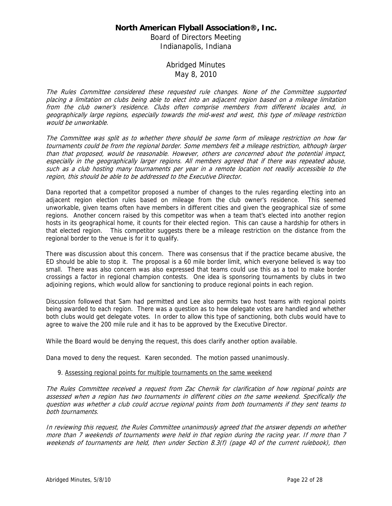Board of Directors Meeting Indianapolis, Indiana

## Abridged Minutes May 8, 2010

The Rules Committee considered these requested rule changes. None of the Committee supported placing a limitation on clubs being able to elect into an adjacent region based on a mileage limitation from the club owner's residence. Clubs often comprise members from different locales and, in geographically large regions, especially towards the mid-west and west, this type of mileage restriction would be unworkable.

The Committee was split as to whether there should be some form of mileage restriction on how far tournaments could be from the regional border. Some members felt a mileage restriction, although larger than that proposed, would be reasonable. However, others are concerned about the potential impact, especially in the geographically larger regions. All members agreed that if there was repeated abuse, such as a club hosting many tournaments per year in a remote location not readily accessible to the region, this should be able to be addressed to the Executive Director.

Dana reported that a competitor proposed a number of changes to the rules regarding electing into an adjacent region election rules based on mileage from the club owner's residence. This seemed unworkable, given teams often have members in different cities and given the geographical size of some regions. Another concern raised by this competitor was when a team that's elected into another region hosts in its geographical home, it counts for their elected region. This can cause a hardship for others in that elected region. This competitor suggests there be a mileage restriction on the distance from the regional border to the venue is for it to qualify.

There was discussion about this concern. There was consensus that if the practice became abusive, the ED should be able to stop it. The proposal is a 60 mile border limit, which everyone believed is way too small. There was also concern was also expressed that teams could use this as a tool to make border crossings a factor in regional champion contests. One idea is sponsoring tournaments by clubs in two adjoining regions, which would allow for sanctioning to produce regional points in each region.

Discussion followed that Sam had permitted and Lee also permits two host teams with regional points being awarded to each region. There was a question as to how delegate votes are handled and whether both clubs would get delegate votes. In order to allow this type of sanctioning, both clubs would have to agree to waive the 200 mile rule and it has to be approved by the Executive Director.

While the Board would be denying the request, this does clarify another option available.

Dana moved to deny the request. Karen seconded. The motion passed unanimously.

### 9. Assessing regional points for multiple tournaments on the same weekend

The Rules Committee received a request from Zac Chernik for clarification of how regional points are assessed when a region has two tournaments in different cities on the same weekend. Specifically the question was whether a club could accrue regional points from both tournaments if they sent teams to both tournaments.

In reviewing this request, the Rules Committee unanimously agreed that the answer depends on whether more than 7 weekends of tournaments were held in that region during the racing year. If more than 7 weekends of tournaments are held, then under Section 8.3(f) (page 40 of the current rulebook), then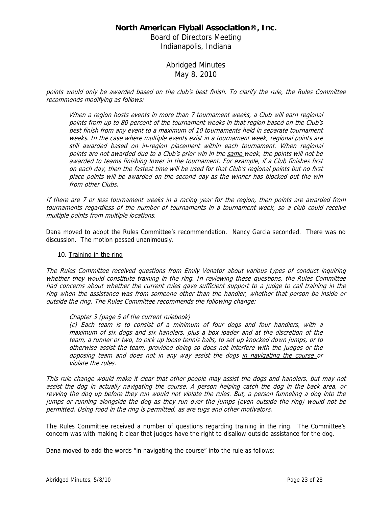Board of Directors Meeting Indianapolis, Indiana

> Abridged Minutes May 8, 2010

points would only be awarded based on the club's best finish. To clarify the rule, the Rules Committee recommends modifying as follows:

When a region hosts events in more than 7 tournament weeks, a Club will earn regional points from up to 80 percent of the tournament weeks in that region based on the Club's best finish from any event to a maximum of 10 tournaments held in separate tournament weeks. In the case where multiple events exist in a tournament week, regional points are still awarded based on in-region placement within each tournament. When regional points are not awarded due to a Club's prior win in the same week, the points will not be awarded to teams finishing lower in the tournament. For example, if a Club finishes first on each day, then the fastest time will be used for that Club's regional points but no first place points will be awarded on the second day as the winner has blocked out the win from other Clubs.

If there are 7 or less tournament weeks in a racing year for the region, then points are awarded from tournaments regardless of the number of tournaments in a tournament week, so a club could receive multiple points from multiple locations.

Dana moved to adopt the Rules Committee's recommendation. Nancy Garcia seconded. There was no discussion. The motion passed unanimously.

### 10. Training in the ring

The Rules Committee received questions from Emily Venator about various types of conduct inquiring whether they would constitute training in the ring. In reviewing these questions, the Rules Committee had concerns about whether the current rules gave sufficient support to a judge to call training in the ring when the assistance was from someone other than the handler, whether that person be inside or outside the ring. The Rules Committee recommends the following change:

### Chapter 3 (page 5 of the current rulebook)

(c) Each team is to consist of a minimum of four dogs and four handlers, with a maximum of six dogs and six handlers, plus a box loader and at the discretion of the team, a runner or two, to pick up loose tennis balls, to set up knocked down jumps, or to otherwise assist the team, provided doing so does not interfere with the judges or the opposing team and does not in any way assist the dogs in navigating the course or violate the rules.

This rule change would make it clear that other people may assist the dogs and handlers, but may not assist the dog in actually navigating the course. A person helping catch the dog in the back area, or revving the dog up before they run would not violate the rules. But, a person funneling a dog into the jumps or running alongside the dog as they run over the jumps (even outside the ring) would not be permitted. Using food in the ring is permitted, as are tugs and other motivators.

The Rules Committee received a number of questions regarding training in the ring. The Committee's concern was with making it clear that judges have the right to disallow outside assistance for the dog.

Dana moved to add the words "in navigating the course" into the rule as follows: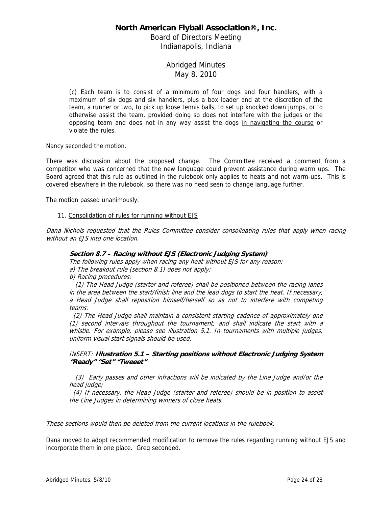Board of Directors Meeting Indianapolis, Indiana

# Abridged Minutes May 8, 2010

(c) Each team is to consist of a minimum of four dogs and four handlers, with a maximum of six dogs and six handlers, plus a box loader and at the discretion of the team, a runner or two, to pick up loose tennis balls, to set up knocked down jumps, or to otherwise assist the team, provided doing so does not interfere with the judges or the opposing team and does not in any way assist the dogs in navigating the course or violate the rules.

Nancy seconded the motion.

There was discussion about the proposed change. The Committee received a comment from a competitor who was concerned that the new language could prevent assistance during warm ups. The Board agreed that this rule as outlined in the rulebook only applies to heats and not warm-ups. This is covered elsewhere in the rulebook, so there was no need seen to change language further.

The motion passed unanimously.

### 11. Consolidation of rules for running without EJS

Dana Nichols requested that the Rules Committee consider consolidating rules that apply when racing without an EJS into one location.

### **Section 8.7 – Racing without EJS (Electronic Judging System)**

The following rules apply when racing any heat without EJS for any reason:

a) The breakout rule (section 8.1) does not apply; b) Racing procedures:

 (1) The Head Judge (starter and referee) shall be positioned between the racing lanes in the area between the start/finish line and the lead dogs to start the heat. If necessary, a Head Judge shall reposition himself/herself so as not to interfere with competing

teams.

 (2) The Head Judge shall maintain a consistent starting cadence of approximately one (1) second intervals throughout the tournament, and shall indicate the start with a whistle. For example, please see illustration 5.1. In tournaments with multiple judges, uniform visual start signals should be used.

### INSERT: **Illustration 5.1 – Starting positions without Electronic Judging System "Ready" "Set" "Tweeet"**

 (3) Early passes and other infractions will be indicated by the Line Judge and/or the head judge;

 (4) If necessary, the Head Judge (starter and referee) should be in position to assist the Line Judges in determining winners of close heats.

These sections would then be deleted from the current locations in the rulebook.

Dana moved to adopt recommended modification to remove the rules regarding running without EJS and incorporate them in one place. Greg seconded.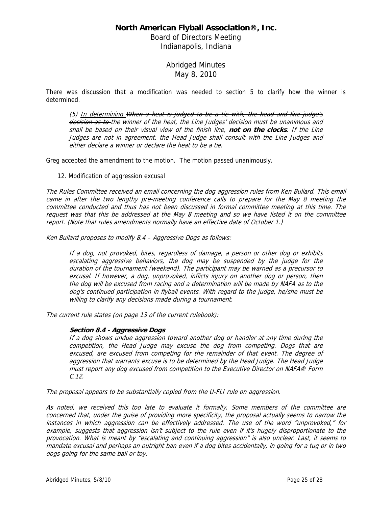Board of Directors Meeting Indianapolis, Indiana

> Abridged Minutes May 8, 2010

There was discussion that a modification was needed to section 5 to clarify how the winner is determined.

(5) In determining When a heat is judged to be a tie with, the head and line judge's decision as to the winner of the heat, the Line Judges' decision must be unanimous and shall be based on their visual view of the finish line, **not on the clocks**. If the Line Judges are not in agreement, the Head Judge shall consult with the Line Judges and either declare a winner or declare the heat to be a tie.

Greg accepted the amendment to the motion. The motion passed unanimously.

### 12. Modification of aggression excusal

The Rules Committee received an email concerning the dog aggression rules from Ken Bullard. This email came in after the two lengthy pre-meeting conference calls to prepare for the May 8 meeting the committee conducted and thus has not been discussed in formal committee meeting at this time. The request was that this be addressed at the May 8 meeting and so we have listed it on the committee report. (Note that rules amendments normally have an effective date of October 1.)

Ken Bullard proposes to modify 8.4 – Aggressive Dogs as follows:

If a dog, not provoked, bites, regardless of damage, a person or other dog or exhibits escalating aggressive behaviors, the dog may be suspended by the judge for the duration of the tournament (weekend). The participant may be warned as a precursor to excusal. If however, a dog, unprovoked, inflicts injury on another dog or person, then the dog will be excused from racing and a determination will be made by NAFA as to the dog's continued participation in flyball events. With regard to the judge, he/she must be willing to clarify any decisions made during a tournament.

The current rule states (on page 13 of the current rulebook):

### **Section 8.4 - Aggressive Dogs**

If a dog shows undue aggression toward another dog or handler at any time during the competition, the Head Judge may excuse the dog from competing. Dogs that are excused, are excused from competing for the remainder of that event. The degree of aggression that warrants excuse is to be determined by the Head Judge. The Head Judge must report any dog excused from competition to the Executive Director on NAFA® Form C.12.

The proposal appears to be substantially copied from the U-FLI rule on aggression.

As noted, we received this too late to evaluate it formally. Some members of the committee are concerned that, under the guise of providing more specificity, the proposal actually seems to narrow the instances in which aggression can be effectively addressed. The use of the word "unprovoked," for example, suggests that aggression isn't subject to the rule even if it's hugely disproportionate to the provocation. What is meant by "escalating and continuing aggression" is also unclear. Last, it seems to mandate excusal and perhaps an outright ban even if a dog bites accidentally, in going for a tug or in two dogs going for the same ball or toy.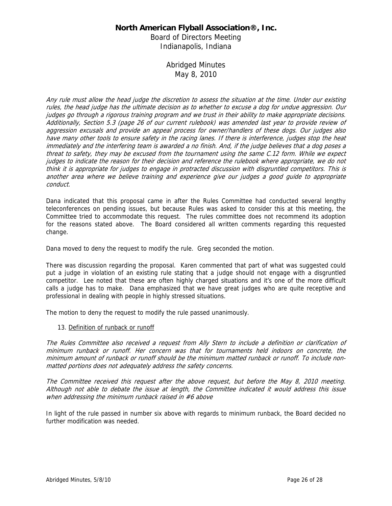Board of Directors Meeting Indianapolis, Indiana

# Abridged Minutes May 8, 2010

Any rule must allow the head judge the discretion to assess the situation at the time. Under our existing rules, the head judge has the ultimate decision as to whether to excuse a dog for undue aggression. Our judges go through a rigorous training program and we trust in their ability to make appropriate decisions. Additionally, Section 5.3 (page 26 of our current rulebook) was amended last year to provide review of aggression excusals and provide an appeal process for owner/handlers of these dogs. Our judges also have many other tools to ensure safety in the racing lanes. If there is interference, judges stop the heat immediately and the interfering team is awarded a no finish. And, if the judge believes that a dog poses a threat to safety, they may be excused from the tournament using the same C.12 form. While we expect judges to indicate the reason for their decision and reference the rulebook where appropriate, we do not think it is appropriate for judges to engage in protracted discussion with disgruntled competitors. This is another area where we believe training and experience give our judges a good guide to appropriate conduct.

Dana indicated that this proposal came in after the Rules Committee had conducted several lengthy teleconferences on pending issues, but because Rules was asked to consider this at this meeting, the Committee tried to accommodate this request. The rules committee does not recommend its adoption for the reasons stated above. The Board considered all written comments regarding this requested change.

Dana moved to deny the request to modify the rule. Greg seconded the motion.

There was discussion regarding the proposal. Karen commented that part of what was suggested could put a judge in violation of an existing rule stating that a judge should not engage with a disgruntled competitor. Lee noted that these are often highly charged situations and it's one of the more difficult calls a judge has to make. Dana emphasized that we have great judges who are quite receptive and professional in dealing with people in highly stressed situations.

The motion to deny the request to modify the rule passed unanimously.

### 13. Definition of runback or runoff

The Rules Committee also received a request from Ally Stern to include a definition or clarification of minimum runback or runoff. Her concern was that for tournaments held indoors on concrete, the minimum amount of runback or runoff should be the minimum matted runback or runoff. To include nonmatted portions does not adequately address the safety concerns.

The Committee received this request after the above request, but before the May 8, 2010 meeting. Although not able to debate the issue at length, the Committee indicated it would address this issue when addressing the minimum runback raised in #6 above

In light of the rule passed in number six above with regards to minimum runback, the Board decided no further modification was needed.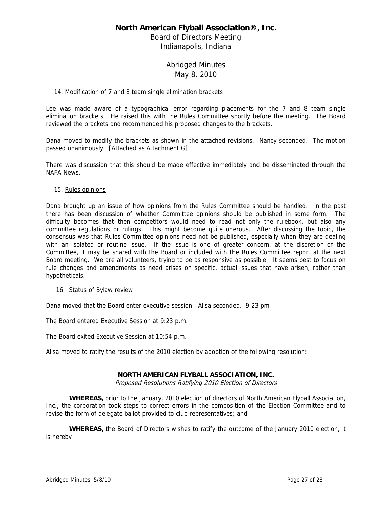Board of Directors Meeting Indianapolis, Indiana

# Abridged Minutes May 8, 2010

### 14. Modification of 7 and 8 team single elimination brackets

Lee was made aware of a typographical error regarding placements for the 7 and 8 team single elimination brackets. He raised this with the Rules Committee shortly before the meeting. The Board reviewed the brackets and recommended his proposed changes to the brackets.

Dana moved to modify the brackets as shown in the attached revisions. Nancy seconded. The motion passed unanimously. [Attached as Attachment G]

There was discussion that this should be made effective immediately and be disseminated through the NAFA News.

### 15. Rules opinions

Dana brought up an issue of how opinions from the Rules Committee should be handled. In the past there has been discussion of whether Committee opinions should be published in some form. The difficulty becomes that then competitors would need to read not only the rulebook, but also any committee regulations or rulings. This might become quite onerous. After discussing the topic, the consensus was that Rules Committee opinions need not be published, especially when they are dealing with an isolated or routine issue. If the issue is one of greater concern, at the discretion of the Committee, it may be shared with the Board or included with the Rules Committee report at the next Board meeting. We are all volunteers, trying to be as responsive as possible. It seems best to focus on rule changes and amendments as need arises on specific, actual issues that have arisen, rather than hypotheticals.

#### 16. Status of Bylaw review

Dana moved that the Board enter executive session. Alisa seconded. 9:23 pm

The Board entered Executive Session at 9:23 p.m.

The Board exited Executive Session at 10:54 p.m.

Alisa moved to ratify the results of the 2010 election by adoption of the following resolution:

### **NORTH AMERICAN FLYBALL ASSOCIATION, INC.**

Proposed Resolutions Ratifying 2010 Election of Directors

**WHEREAS,** prior to the January, 2010 election of directors of North American Flyball Association, Inc., the corporation took steps to correct errors in the composition of the Election Committee and to revise the form of delegate ballot provided to club representatives; and

**WHEREAS,** the Board of Directors wishes to ratify the outcome of the January 2010 election, it is hereby